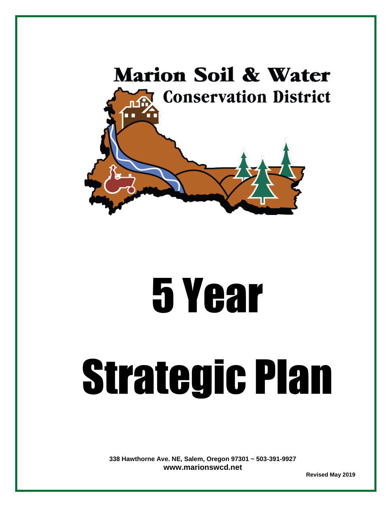

# 5 Year

# Strategic Plan

**338 Hawthorne Ave. NE, Salem, Oregon 97301 ~ 503-391-9927 [www.marionswcd.net](http://www.marionswcd.net/)** 

 **Revised May 2019**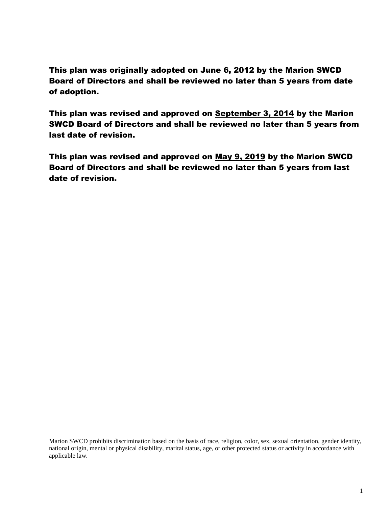This plan was originally adopted on June 6, 2012 by the Marion SWCD Board of Directors and shall be reviewed no later than 5 years from date of adoption.

This plan was revised and approved on September 3, 2014 by the Marion SWCD Board of Directors and shall be reviewed no later than 5 years from last date of revision.

This plan was revised and approved on May 9, 2019 by the Marion SWCD Board of Directors and shall be reviewed no later than 5 years from last date of revision.

Marion SWCD prohibits discrimination based on the basis of race, religion, color, sex, sexual orientation, gender identity, national origin, mental or physical disability, marital status, age, or other protected status or activity in accordance with applicable law.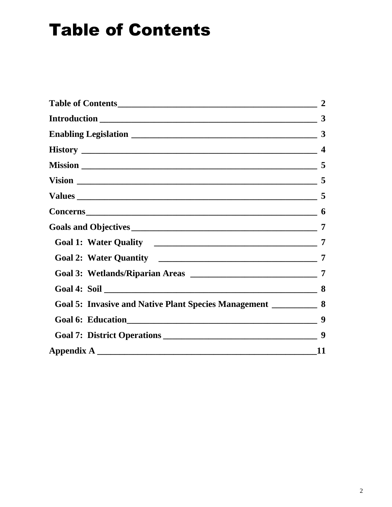## <span id="page-2-0"></span>**Table of Contents**

<span id="page-2-1"></span>

|                                                                     | $\overline{2}$ |
|---------------------------------------------------------------------|----------------|
|                                                                     |                |
|                                                                     |                |
|                                                                     |                |
|                                                                     |                |
|                                                                     |                |
|                                                                     |                |
|                                                                     |                |
|                                                                     |                |
|                                                                     |                |
|                                                                     |                |
|                                                                     |                |
|                                                                     |                |
| Goal 5: Invasive and Native Plant Species Management ____________ 8 |                |
|                                                                     |                |
|                                                                     |                |
|                                                                     | <b>11</b>      |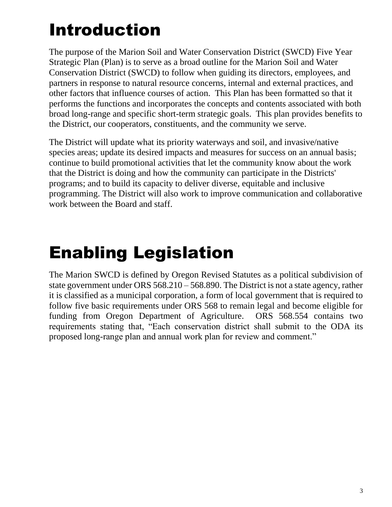# Introduction

The purpose of the Marion Soil and Water Conservation District (SWCD) Five Year Strategic Plan (Plan) is to serve as a broad outline for the Marion Soil and Water Conservation District (SWCD) to follow when guiding its directors, employees, and partners in response to natural resource concerns, internal and external practices, and other factors that influence courses of action. This Plan has been formatted so that it performs the functions and incorporates the concepts and contents associated with both broad long-range and specific short-term strategic goals. This plan provides benefits to the District, our cooperators, constituents, and the community we serve.

The District will update what its priority waterways and soil, and invasive/native species areas; update its desired impacts and measures for success on an annual basis; continue to build promotional activities that let the community know about the work that the District is doing and how the community can participate in the Districts' programs; and to build its capacity to deliver diverse, equitable and inclusive programming. The District will also work to improve communication and collaborative work between the Board and staff.

# <span id="page-3-0"></span>Enabling Legislation

<span id="page-3-1"></span>The Marion SWCD is defined by Oregon Revised Statutes as a political subdivision of state government under ORS 568.210 – 568.890. The District is not a state agency, rather it is classified as a municipal corporation, a form of local government that is required to follow five basic requirements under ORS 568 to remain legal and become eligible for funding from Oregon Department of Agriculture. ORS 568.554 contains two requirements stating that, "Each conservation district shall submit to the ODA its proposed long-range plan and annual work plan for review and comment."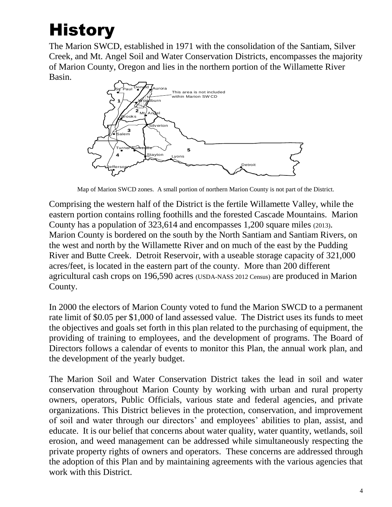# **History**

The Marion SWCD, established in 1971 with the consolidation of the Santiam, Silver Creek, and Mt. Angel Soil and Water Conservation Districts, encompasses the majority of Marion County, Oregon and lies in the northern portion of the Willamette River Basin.



Map of Marion SWCD zones. A small portion of northern Marion County is not part of the District.

Comprising the western half of the District is the fertile Willamette Valley, while the eastern portion contains rolling foothills and the forested Cascade Mountains. Marion County has a population of 323,614 and encompasses 1,200 square miles (2013). Marion County is bordered on the south by the North Santiam and Santiam Rivers, on the west and north by the Willamette River and on much of the east by the Pudding River and Butte Creek. Detroit Reservoir, with a useable storage capacity of 321,000 acres/feet, is located in the eastern part of the county. More than 200 different agricultural cash crops on 196,590 acres (USDA-NASS 2012 Census) are produced in Marion County.

In 2000 the electors of Marion County voted to fund the Marion SWCD to a permanent rate limit of \$0.05 per \$1,000 of land assessed value. The District uses its funds to meet the objectives and goals set forth in this plan related to the purchasing of equipment, the providing of training to employees, and the development of programs. The Board of Directors follows a calendar of events to monitor this Plan, the annual work plan, and the development of the yearly budget.

The Marion Soil and Water Conservation District takes the lead in soil and water conservation throughout Marion County by working with urban and rural property owners, operators, Public Officials, various state and federal agencies, and private organizations. This District believes in the protection, conservation, and improvement of soil and water through our directors' and employees' abilities to plan, assist, and educate. It is our belief that concerns about water quality, water quantity, wetlands, soil erosion, and weed management can be addressed while simultaneously respecting the private property rights of owners and operators. These concerns are addressed through the adoption of this Plan and by maintaining agreements with the various agencies that work with this District.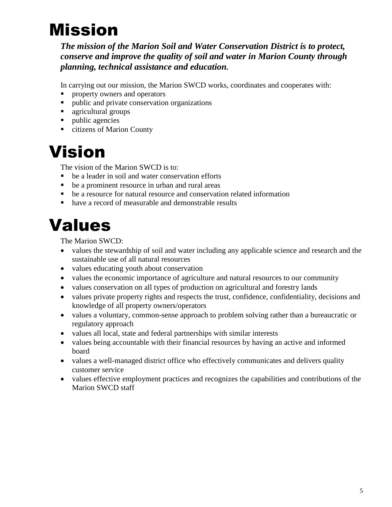# <span id="page-5-0"></span>Mission

*The mission of the Marion Soil and Water Conservation District is to protect, conserve and improve the quality of soil and water in Marion County through planning, technical assistance and education.*

In carrying out our mission, the Marion SWCD works, coordinates and cooperates with:

- property owners and operators
- public and private conservation organizations
- agricultural groups
- public agencies
- citizens of Marion County

### <span id="page-5-1"></span>Vision

The vision of the Marion SWCD is to:

- be a leader in soil and water conservation efforts
- be a prominent resource in urban and rural areas
- be a resource for natural resource and conservation related information
- have a record of measurable and demonstrable results

### <span id="page-5-2"></span>Values

The Marion SWCD:

- values the stewardship of soil and water including any applicable science and research and the sustainable use of all natural resources
- values educating youth about conservation
- values the economic importance of agriculture and natural resources to our community
- values conservation on all types of production on agricultural and forestry lands
- values private property rights and respects the trust, confidence, confidentiality, decisions and knowledge of all property owners/operators
- values a voluntary, common-sense approach to problem solving rather than a bureaucratic or regulatory approach
- values all local, state and federal partnerships with similar interests
- values being accountable with their financial resources by having an active and informed board
- values a well-managed district office who effectively communicates and delivers quality customer service
- values effective employment practices and recognizes the capabilities and contributions of the Marion SWCD staff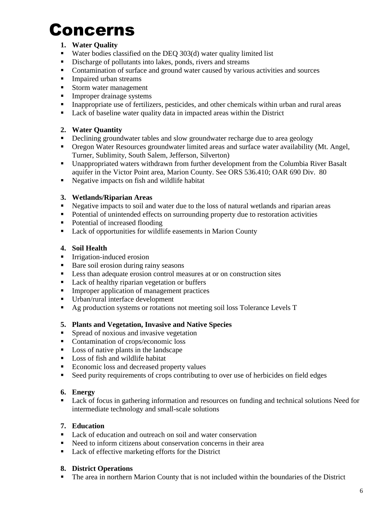## <span id="page-6-0"></span>Concerns

#### **1. Water Quality**

- Water bodies classified on the DEO 303(d) water quality limited list
- **EXECUTE:** Discharge of pollutants into lakes, ponds, rivers and streams
- Contamination of surface and ground water caused by various activities and sources
- **•** Impaired urban streams
- Storm water management
- **•** Improper drainage systems
- **•** Inappropriate use of fertilizers, pesticides, and other chemicals within urban and rural areas
- Lack of baseline water quality data in impacted areas within the District

#### **2. Water Quantity**

- Declining groundwater tables and slow groundwater recharge due to area geology
- Oregon Water Resources groundwater limited areas and surface water availability (Mt. Angel, Turner, Sublimity, South Salem, Jefferson, Silverton)
- Unappropriated waters withdrawn from further development from the Columbia River Basalt aquifer in the Victor Point area, Marion County. See ORS 536.410; OAR 690 Div. 80
- Negative impacts on fish and wildlife habitat

#### **3. Wetlands/Riparian Areas**

- Negative impacts to soil and water due to the loss of natural wetlands and riparian areas
- **•** Potential of unintended effects on surrounding property due to restoration activities
- Potential of increased flooding
- Lack of opportunities for wildlife easements in Marion County

#### **4. Soil Health**

- **•** Irrigation-induced erosion
- Bare soil erosion during rainy seasons
- Less than adequate erosion control measures at or on construction sites
- Lack of healthy riparian vegetation or buffers
- **EXECUTE:** Improper application of management practices
- Urban/rural interface development
- Ag production systems or rotations not meeting soil loss Tolerance Levels T

#### **5. Plants and Vegetation, Invasive and Native Species**

- Spread of noxious and invasive vegetation
- Contamination of crops/economic loss
- Loss of native plants in the landscape
- Loss of fish and wildlife habitat
- Economic loss and decreased property values
- Seed purity requirements of crops contributing to over use of herbicides on field edges

#### **6. Energy**

■ Lack of focus in gathering information and resources on funding and technical solutions Need for intermediate technology and small-scale solutions

#### **7. Education**

- Lack of education and outreach on soil and water conservation
- Need to inform citizens about conservation concerns in their area
- Lack of effective marketing efforts for the District

#### **8. District Operations**

**•** The area in northern Marion County that is not included within the boundaries of the District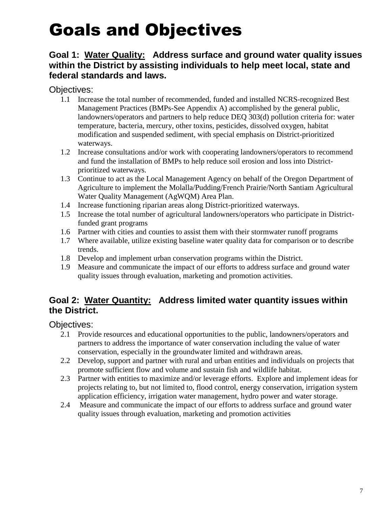## <span id="page-7-0"></span>Goals and Objectives

#### <span id="page-7-2"></span><span id="page-7-1"></span>**Goal 1: Water Quality: Address surface and ground water quality issues within the District by assisting individuals to help meet local, state and federal standards and laws.**

Objectives:

- 1.1 Increase the total number of recommended, funded and installed NCRS-recognized Best Management Practices (BMPs-See Appendix A) accomplished by the general public, landowners/operators and partners to help reduce DEQ 303(d) pollution criteria for: water temperature, bacteria, mercury, other toxins, pesticides, dissolved oxygen, habitat modification and suspended sediment, with special emphasis on District-prioritized waterways.
- 1.2 Increase consultations and/or work with cooperating landowners/operators to recommend and fund the installation of BMPs to help reduce soil erosion and loss into Districtprioritized waterways.
- 1.3 Continue to act as the Local Management Agency on behalf of the Oregon Department of Agriculture to implement the Molalla/Pudding/French Prairie/North Santiam Agricultural Water Quality Management (AgWQM) Area Plan.
- 1.4 Increase functioning riparian areas along District-prioritized waterways.
- 1.5 Increase the total number of agricultural landowners/operators who participate in Districtfunded grant programs
- 1.6 Partner with cities and counties to assist them with their stormwater runoff programs
- 1.7 Where available, utilize existing baseline water quality data for comparison or to describe trends.
- 1.8 Develop and implement urban conservation programs within the District.
- 1.9 Measure and communicate the impact of our efforts to address surface and ground water quality issues through evaluation, marketing and promotion activities.

#### <span id="page-7-3"></span>**Goal 2: Water Quantity: Address limited water quantity issues within the District.**

Objectives:

- 2.1 Provide resources and educational opportunities to the public, landowners/operators and partners to address the importance of water conservation including the value of water conservation, especially in the groundwater limited and withdrawn areas.
- 2.2 Develop, support and partner with rural and urban entities and individuals on projects that promote sufficient flow and volume and sustain fish and wildlife habitat.
- 2.3 Partner with entities to maximize and/or leverage efforts. Explore and implement ideas for projects relating to, but not limited to, flood control, energy conservation, irrigation system application efficiency, irrigation water management, hydro power and water storage.
- 2.4 Measure and communicate the impact of our efforts to address surface and ground water quality issues through evaluation, marketing and promotion activities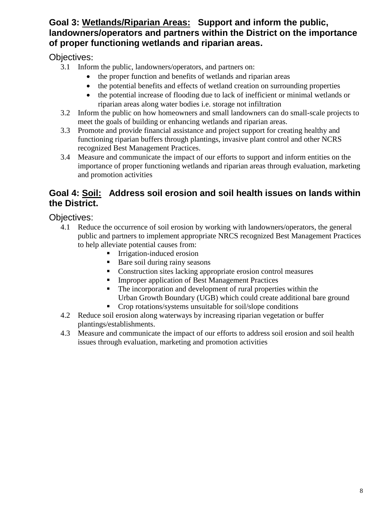#### <span id="page-8-0"></span>**Goal 3: Wetlands/Riparian Areas: Support and inform the public, landowners/operators and partners within the District on the importance of proper functioning wetlands and riparian areas.**

Objectives:

- 3.1 Inform the public, landowners/operators, and partners on:
	- the proper function and benefits of wetlands and riparian areas
	- the potential benefits and effects of wetland creation on surrounding properties
	- the potential increase of flooding due to lack of inefficient or minimal wetlands or riparian areas along water bodies i.e. storage not infiltration
- 3.2 Inform the public on how homeowners and small landowners can do small-scale projects to meet the goals of building or enhancing wetlands and riparian areas.
- 3.3 Promote and provide financial assistance and project support for creating healthy and functioning riparian buffers through plantings, invasive plant control and other NCRS recognized Best Management Practices.
- 3.4 Measure and communicate the impact of our efforts to support and inform entities on the importance of proper functioning wetlands and riparian areas through evaluation, marketing and promotion activities

#### <span id="page-8-1"></span>**Goal 4: Soil: Address soil erosion and soil health issues on lands within the District.**

Objectives:

- 4.1 Reduce the occurrence of soil erosion by working with landowners/operators, the general public and partners to implement appropriate NRCS recognized Best Management Practices to help alleviate potential causes from:
	- **•** Irrigation-induced erosion
	- Bare soil during rainy seasons
	- Construction sites lacking appropriate erosion control measures
	- **Improper application of Best Management Practices**
	- The incorporation and development of rural properties within the Urban Growth Boundary (UGB) which could create additional bare ground
	- Crop rotations/systems unsuitable for soil/slope conditions
- 4.2 Reduce soil erosion along waterways by increasing riparian vegetation or buffer plantings/establishments.
- 4.3 Measure and communicate the impact of our efforts to address soil erosion and soil health issues through evaluation, marketing and promotion activities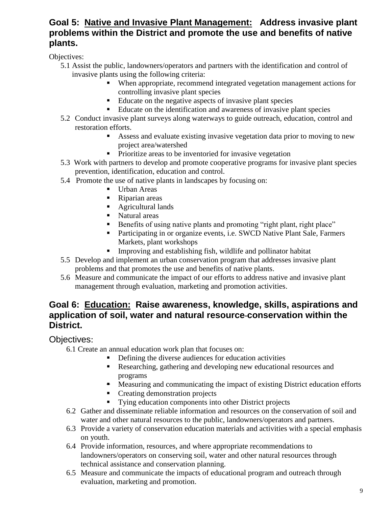#### <span id="page-9-0"></span>**Goal 5: Native and Invasive Plant Management: Address invasive plant problems within the District and promote the use and benefits of native plants.**

Objectives:

- 5.1 Assist the public, landowners/operators and partners with the identification and control of invasive plants using the following criteria:
	- When appropriate, recommend integrated vegetation management actions for controlling invasive plant species
	- Educate on the negative aspects of invasive plant species
	- Educate on the identification and awareness of invasive plant species
- 5.2 Conduct invasive plant surveys along waterways to guide outreach, education, control and restoration efforts.
	- Assess and evaluate existing invasive vegetation data prior to moving to new project area/watershed
	- Prioritize areas to be inventoried for invasive vegetation
- 5.3 Work with partners to develop and promote cooperative programs for invasive plant species prevention, identification, education and control.
- 5.4 Promote the use of native plants in landscapes by focusing on:
	- Urban Areas
	- Riparian areas
	- Agricultural lands
	- Natural areas
	- Benefits of using native plants and promoting "right plant, right place"
	- Participating in or organize events, i.e. SWCD Native Plant Sale, Farmers Markets, plant workshops
	- Improving and establishing fish, wildlife and pollinator habitat
- 5.5 Develop and implement an urban conservation program that addresses invasive plant problems and that promotes the use and benefits of native plants.
- 5.6 Measure and communicate the impact of our efforts to address native and invasive plant management through evaluation, marketing and promotion activities.

#### <span id="page-9-1"></span>**Goal 6: Education: Raise awareness, knowledge, skills, aspirations and application of soil, water and natural resource conservation within the District.**

Objectives:

6.1 Create an annual education work plan that focuses on:

- Defining the diverse audiences for education activities
- Researching, gathering and developing new educational resources and programs
- Measuring and communicating the impact of existing District education efforts
- Creating demonstration projects
- Tying education components into other District projects
- 6.2 Gather and disseminate reliable information and resources on the conservation of soil and water and other natural resources to the public, landowners/operators and partners.
- 6.3 Provide a variety of conservation education materials and activities with a special emphasis on youth.
- 6.4 Provide information, resources, and where appropriate recommendations to landowners/operators on conserving soil, water and other natural resources through technical assistance and conservation planning.
- 6.5 Measure and communicate the impacts of educational program and outreach through evaluation, marketing and promotion.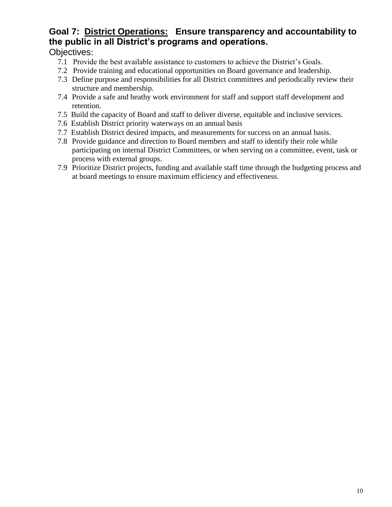#### **Goal 7: District Operations: Ensure transparency and accountability to the public in all District's programs and operations.**

#### Objectives:

- 7.1 Provide the best available assistance to customers to achieve the District's Goals.
- 7.2 Provide training and educational opportunities on Board governance and leadership.
- 7.3 Define purpose and responsibilities for all District committees and periodically review their structure and membership.
- 7.4 Provide a safe and heathy work environment for staff and support staff development and retention.
- 7.5 Build the capacity of Board and staff to deliver diverse, equitable and inclusive services.
- 7.6 Establish District priority waterways on an annual basis
- 7.7 Establish District desired impacts, and measurements for success on an annual basis.
- 7.8 Provide guidance and direction to Board members and staff to identify their role while participating on internal District Committees, or when serving on a committee, event, task or process with external groups.
- 7.9 Prioritize District projects, funding and available staff time through the budgeting process and at board meetings to ensure maximum efficiency and effectiveness.